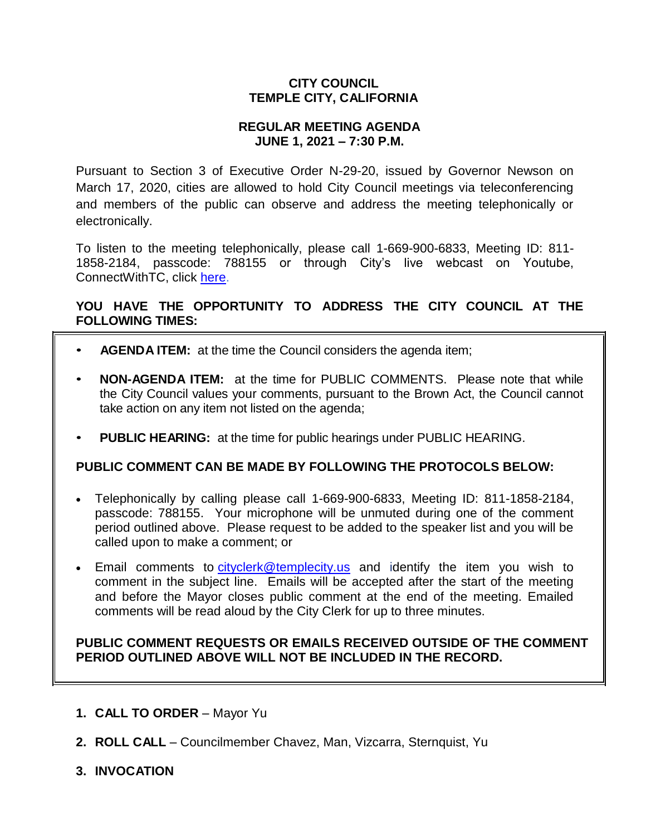# **CITY COUNCIL TEMPLE CITY, CALIFORNIA**

# **REGULAR MEETING AGENDA JUNE 1, 2021 – 7:30 P.M.**

Pursuant to Section 3 of Executive Order N-29-20, issued by Governor Newson on March 17, 2020, cities are allowed to hold City Council meetings via teleconferencing and members of the public can observe and address the meeting telephonically or electronically.

To listen to the meeting telephonically, please call 1-669-900-6833, Meeting ID: 811- 1858-2184, passcode: 788155 or through City's live webcast on Youtube, ConnectWithTC, click [here.](https://www.ci.temple-city.ca.us/516/Meeting-Webcast)

# **YOU HAVE THE OPPORTUNITY TO ADDRESS THE CITY COUNCIL AT THE FOLLOWING TIMES:**

- **AGENDA ITEM:** at the time the Council considers the agenda item;
- **NON-AGENDA ITEM:** at the time for PUBLIC COMMENTS. Please note that while the City Council values your comments, pursuant to the Brown Act, the Council cannot take action on any item not listed on the agenda;
- **PUBLIC HEARING:** at the time for public hearings under PUBLIC HEARING.

# **PUBLIC COMMENT CAN BE MADE BY FOLLOWING THE PROTOCOLS BELOW:**

- Telephonically by calling please call 1-669-900-6833, Meeting ID: 811-1858-2184, passcode: 788155. Your microphone will be unmuted during one of the comment period outlined above. Please request to be added to the speaker list and you will be called upon to make a comment; or
- Email comments to [cityclerk@templecity.us](mailto:cityclerk@templecity.us) and identify the item you wish to comment in the subject line. Emails will be accepted after the start of the meeting and before the Mayor closes public comment at the end of the meeting. Emailed comments will be read aloud by the City Clerk for up to three minutes.

# **PUBLIC COMMENT REQUESTS OR EMAILS RECEIVED OUTSIDE OF THE COMMENT PERIOD OUTLINED ABOVE WILL NOT BE INCLUDED IN THE RECORD.**

- **1. CALL TO ORDER**  Mayor Yu
- **2. ROLL CALL**  Councilmember Chavez, Man, Vizcarra, Sternquist, Yu
- **3. INVOCATION**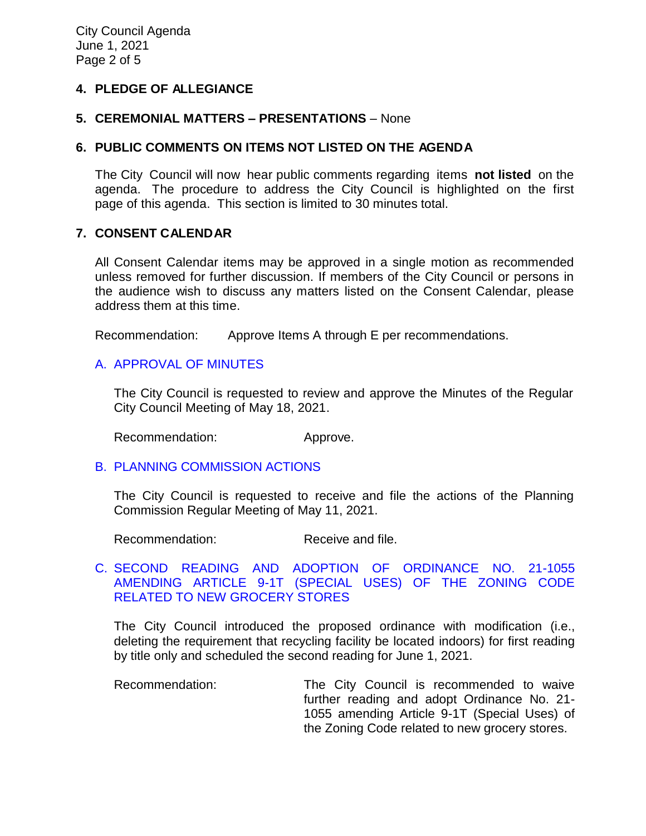# **4. PLEDGE OF ALLEGIANCE**

### **5. CEREMONIAL MATTERS – PRESENTATIONS** – None

### **6. PUBLIC COMMENTS ON ITEMS NOT LISTED ON THE AGENDA**

The City Council will now hear public comments regarding items **not listed** on the agenda. The procedure to address the City Council is highlighted on the first page of this agenda. This section is limited to 30 minutes total.

# **7. CONSENT CALENDAR**

All Consent Calendar items may be approved in a single motion as recommended unless removed for further discussion. If members of the City Council or persons in the audience wish to discuss any matters listed on the Consent Calendar, please address them at this time.

Recommendation: Approve Items A through E per recommendations.

# A. [APPROVAL](https://www.ci.temple-city.ca.us/DocumentCenter/View/16326/02-7A_CCM---2021-05-18) OF MINUTES

The City Council is requested to review and approve the Minutes of the Regular City Council Meeting of May 18, 2021.

Recommendation: Approve.

#### B. [PLANNING COMMISSION ACTIONS](https://www.ci.temple-city.ca.us/DocumentCenter/View/16319/03-7B_PC-Actions---from-2021-5-11)

The City Council is requested to receive and file the actions of the Planning Commission Regular Meeting of May 11, 2021.

Recommendation: Receive and file.

# C. [SECOND READING AND ADOPTION OF ORDINANCE NO. 21-1055](https://www.ci.temple-city.ca.us/DocumentCenter/View/16320/04-7C_Grocery-Store-Ordinance_Second-Reading-w-attachments)  [AMENDING ARTICLE 9-1T \(SPECIAL USES\) OF THE ZONING CODE](https://www.ci.temple-city.ca.us/DocumentCenter/View/16320/04-7C_Grocery-Store-Ordinance_Second-Reading-w-attachments)  [RELATED TO NEW GROCERY STORES](https://www.ci.temple-city.ca.us/DocumentCenter/View/16320/04-7C_Grocery-Store-Ordinance_Second-Reading-w-attachments)

The City Council introduced the proposed ordinance with modification (i.e., deleting the requirement that recycling facility be located indoors) for first reading by title only and scheduled the second reading for June 1, 2021.

Recommendation: The City Council is recommended to waive further reading and adopt Ordinance No. 21- 1055 amending Article 9-1T (Special Uses) of the Zoning Code related to new grocery stores.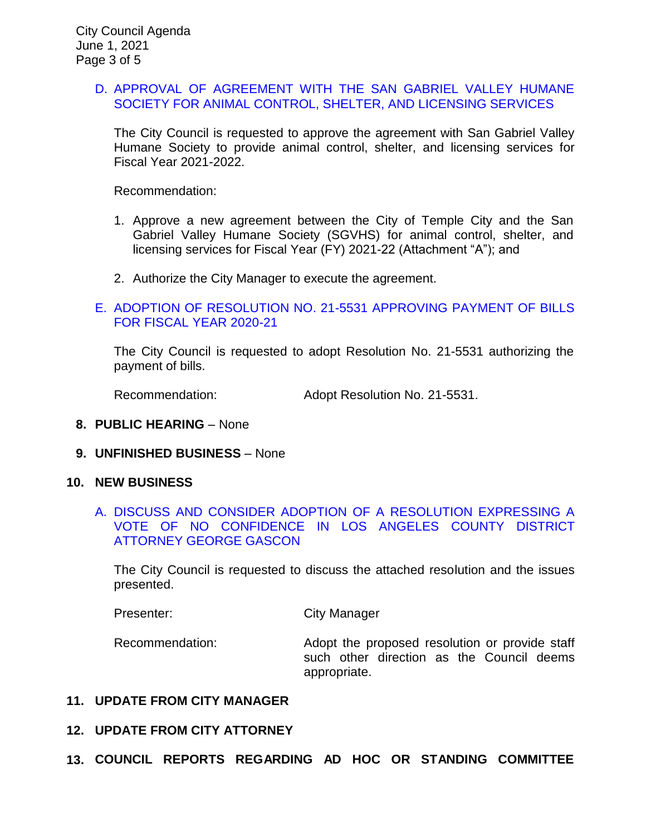### D. [APPROVAL OF AGREEMENT WITH THE SAN GABRIEL VALLEY HUMANE](https://www.ci.temple-city.ca.us/DocumentCenter/View/16321/05-7D_San-Gabriel-Valley-Humane-Society_Staff-Report-w-attachments)  [SOCIETY FOR ANIMAL CONTROL, SHELTER, AND LICENSING SERVICES](https://www.ci.temple-city.ca.us/DocumentCenter/View/16321/05-7D_San-Gabriel-Valley-Humane-Society_Staff-Report-w-attachments)

The City Council is requested to approve the agreement with San Gabriel Valley Humane Society to provide animal control, shelter, and licensing services for Fiscal Year 2021-2022.

Recommendation:

- 1. Approve a new agreement between the City of Temple City and the San Gabriel Valley Humane Society (SGVHS) for animal control, shelter, and licensing services for Fiscal Year (FY) 2021-22 (Attachment "A"); and
- 2. Authorize the City Manager to execute the agreement.

# E. [ADOPTION OF RESOLUTION NO. 21-5531](https://www.ci.temple-city.ca.us/DocumentCenter/View/16322/06-7E_Reso-No-21-5531-060121---Warrants--Demands-FY-2020-2021) APPROVING PAYMENT OF BILLS [FOR FISCAL YEAR 2020-21](https://www.ci.temple-city.ca.us/DocumentCenter/View/16322/06-7E_Reso-No-21-5531-060121---Warrants--Demands-FY-2020-2021)

The City Council is requested to adopt Resolution No. 21-5531 authorizing the payment of bills.

Recommendation: Adopt Resolution No. 21-5531.

- **8. PUBLIC HEARING**  None
- **9. UNFINISHED BUSINESS** None

#### **10. NEW BUSINESS**

### A. [DISCUSS AND CONSIDER ADOPTION OF A RESOLUTION EXPRESSING A](https://www.ci.temple-city.ca.us/DocumentCenter/View/16323/07-10A_Vote-of-No-Confidence-Los-Angeles-County-District-Attorney-George-Gascon-w-attachment)  [VOTE OF NO CONFIDENCE IN LOS ANGELES COUNTY DISTRICT](https://www.ci.temple-city.ca.us/DocumentCenter/View/16323/07-10A_Vote-of-No-Confidence-Los-Angeles-County-District-Attorney-George-Gascon-w-attachment)  [ATTORNEY GEORGE GASCON](https://www.ci.temple-city.ca.us/DocumentCenter/View/16323/07-10A_Vote-of-No-Confidence-Los-Angeles-County-District-Attorney-George-Gascon-w-attachment)

The City Council is requested to discuss the attached resolution and the issues presented.

appropriate.

Presenter: City Manager

Recommendation: Adopt the proposed resolution or provide staff such other direction as the Council deems

**11. UPDATE FROM CITY MANAGER**

# **12. UPDATE FROM CITY ATTORNEY**

**13. COUNCIL REPORTS REGARDING AD HOC OR STANDING COMMITTEE**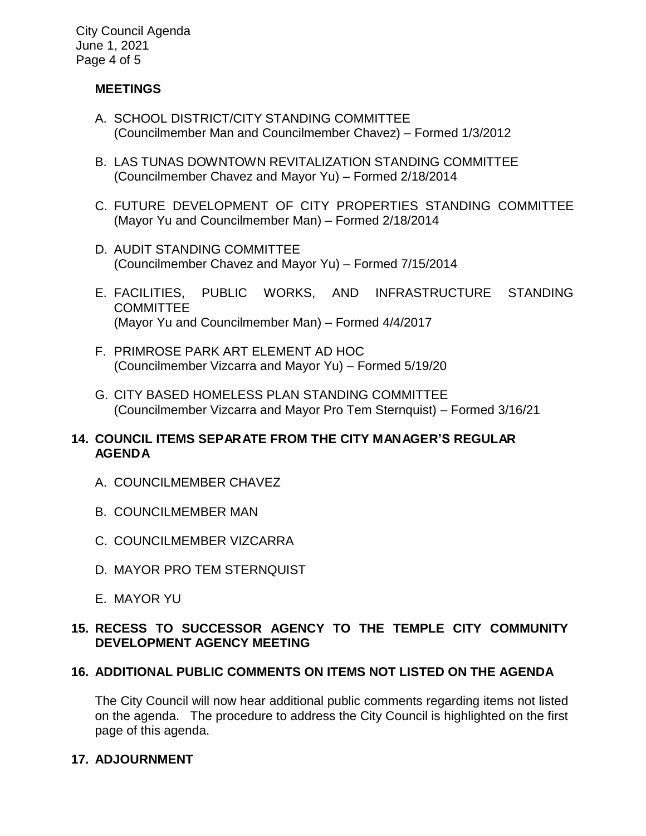City Council Agenda June 1, 2021 Page 4 of 5

# **MEETINGS**

- A. SCHOOL DISTRICT/CITY STANDING COMMITTEE (Councilmember Man and Councilmember Chavez) – Formed 1/3/2012
- B. LAS TUNAS DOWNTOWN REVITALIZATION STANDING COMMITTEE (Councilmember Chavez and Mayor Yu) – Formed 2/18/2014
- C. FUTURE DEVELOPMENT OF CITY PROPERTIES STANDING COMMITTEE (Mayor Yu and Councilmember Man) – Formed 2/18/2014
- D. AUDIT STANDING COMMITTEE (Councilmember Chavez and Mayor Yu) – Formed 7/15/2014
- E. FACILITIES, PUBLIC WORKS, AND INFRASTRUCTURE STANDING **COMMITTEE** (Mayor Yu and Councilmember Man) – Formed 4/4/2017
- F. PRIMROSE PARK ART ELEMENT AD HOC (Councilmember Vizcarra and Mayor Yu) – Formed 5/19/20
- G. CITY BASED HOMELESS PLAN STANDING COMMITTEE (Councilmember Vizcarra and Mayor Pro Tem Sternquist) – Formed 3/16/21

# **14. COUNCIL ITEMS SEPARATE FROM THE CITY MANAGER'S REGULAR AGENDA**

- A. COUNCILMEMBER CHAVEZ
- B. COUNCILMEMBER MAN
- C. COUNCILMEMBER VIZCARRA
- D. MAYOR PRO TEM STERNQUIST
- E. MAYOR YU

# **15. RECESS TO SUCCESSOR AGENCY TO THE TEMPLE CITY COMMUNITY DEVELOPMENT AGENCY MEETING**

# **16. ADDITIONAL PUBLIC COMMENTS ON ITEMS NOT LISTED ON THE AGENDA**

The City Council will now hear additional public comments regarding items not listed on the agenda. The procedure to address the City Council is highlighted on the first page of this agenda.

# **17. ADJOURNMENT**